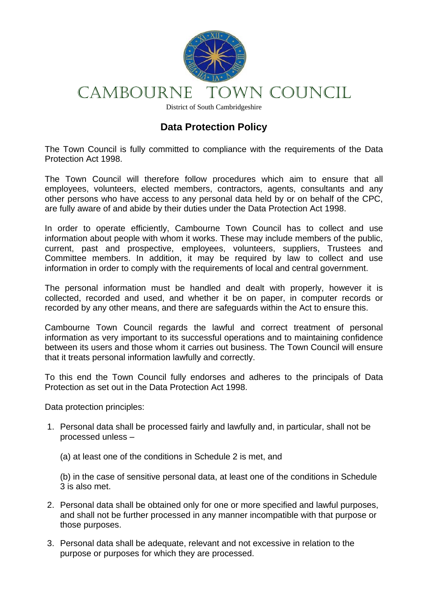

District of South Cambridgeshire

## **Data Protection Policy**

The Town Council is fully committed to compliance with the requirements of the Data Protection Act 1998.

The Town Council will therefore follow procedures which aim to ensure that all employees, volunteers, elected members, contractors, agents, consultants and any other persons who have access to any personal data held by or on behalf of the CPC, are fully aware of and abide by their duties under the Data Protection Act 1998.

In order to operate efficiently, Cambourne Town Council has to collect and use information about people with whom it works. These may include members of the public, current, past and prospective, employees, volunteers, suppliers, Trustees and Committee members. In addition, it may be required by law to collect and use information in order to comply with the requirements of local and central government.

The personal information must be handled and dealt with properly, however it is collected, recorded and used, and whether it be on paper, in computer records or recorded by any other means, and there are safeguards within the Act to ensure this.

Cambourne Town Council regards the lawful and correct treatment of personal information as very important to its successful operations and to maintaining confidence between its users and those whom it carries out business. The Town Council will ensure that it treats personal information lawfully and correctly.

To this end the Town Council fully endorses and adheres to the principals of Data Protection as set out in the Data Protection Act 1998.

Data protection principles:

- 1. Personal data shall be processed fairly and lawfully and, in particular, shall not be processed unless –
	- (a) at least one of the conditions in Schedule 2 is met, and

(b) in the case of sensitive personal data, at least one of the conditions in Schedule 3 is also met.

- 2. Personal data shall be obtained only for one or more specified and lawful purposes, and shall not be further processed in any manner incompatible with that purpose or those purposes.
- 3. Personal data shall be adequate, relevant and not excessive in relation to the purpose or purposes for which they are processed.